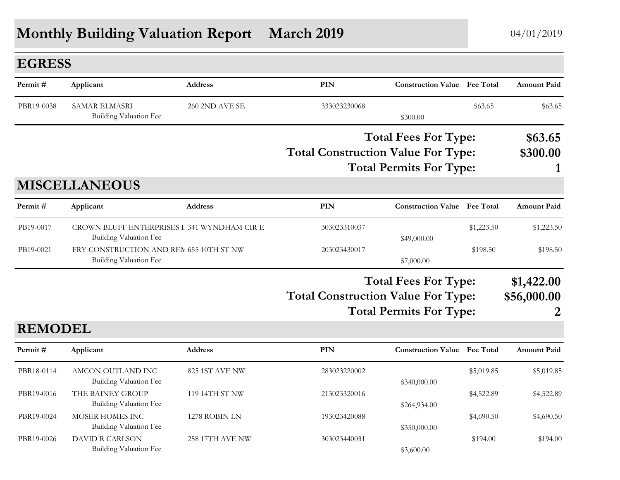## **Monthly Building Valuation Report March 2019** 04/01/2019

| <b>EGRESS</b>  |                                                                          |                        |                                           |                                     |             |                    |
|----------------|--------------------------------------------------------------------------|------------------------|-------------------------------------------|-------------------------------------|-------------|--------------------|
| Permit#        | Applicant                                                                | <b>Address</b>         | PIN                                       | <b>Construction Value Fee Total</b> |             | <b>Amount Paid</b> |
| PBR19-0038     | <b>SAMAR ELMASRI</b><br>Building Valuation Fee                           | 260 2ND AVE SE         | 333023230068                              | \$300.00                            | \$63.65     | \$63.65            |
|                |                                                                          |                        |                                           | <b>Total Fees For Type:</b>         |             |                    |
|                |                                                                          |                        | <b>Total Construction Value For Type:</b> |                                     |             | \$300.00           |
|                |                                                                          |                        | <b>Total Permits For Type:</b>            |                                     |             |                    |
|                | <b>MISCELLANEOUS</b>                                                     |                        |                                           |                                     |             |                    |
| Permit#        | Applicant                                                                | <b>Address</b>         | <b>PIN</b>                                | <b>Construction Value Fee Total</b> |             | <b>Amount Paid</b> |
| PB19-0017      | CROWN BLUFF ENTERPRISES I 341 WYNDHAM CIR E<br>Building Valuation Fee    |                        | 303023310037                              | \$49,000.00                         | \$1,223.50  | \$1,223.50         |
| PB19-0021      | FRY CONSTRUCTION AND REM 655 10TH ST NW<br><b>Building Valuation Fee</b> |                        | 203023430017                              | \$7,000.00                          | \$198.50    | \$198.50           |
|                |                                                                          |                        |                                           | <b>Total Fees For Type:</b>         |             | \$1,422.00         |
|                |                                                                          |                        | <b>Total Construction Value For Type:</b> |                                     | \$56,000.00 |                    |
|                |                                                                          |                        | <b>Total Permits For Type:</b>            |                                     |             | 2                  |
| <b>REMODEL</b> |                                                                          |                        |                                           |                                     |             |                    |
| Permit#        | Applicant                                                                | <b>Address</b>         | <b>PIN</b>                                | <b>Construction Value Fee Total</b> |             | <b>Amount Paid</b> |
| PBR18-0114     | AMCON OUTLAND INC<br>Building Valuation Fee                              | 825 1ST AVE NW         | 283023220002                              | \$340,000.00                        | \$5,019.85  | \$5,019.85         |
| PBR19-0016     | THE BAINEY GROUP<br><b>Building Valuation Fee</b>                        | 119 14TH ST NW         | 213023320016                              | \$264,934.00                        | \$4,522.89  | \$4,522.89         |
| PBR19-0024     | MOSER HOMES INC<br>Building Valuation Fee                                | 1278 ROBIN LN          | 193023420088                              | \$350,000.00                        | \$4,690.50  | \$4,690.50         |
| PBR19-0026     | <b>DAVID R CARLSON</b><br><b>Building Valuation Fee</b>                  | <b>258 17TH AVE NW</b> | 303023440031                              | \$3,600.00                          | \$194.00    | \$194.00           |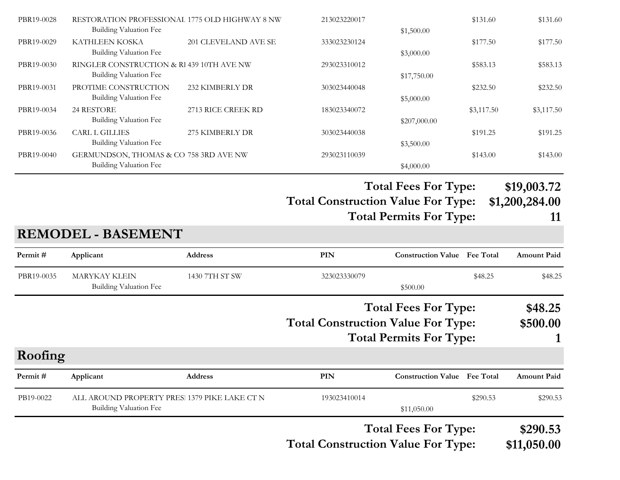| PBR19-0028 | RESTORATION PROFESSIONAL 1775 OLD HIGHWAY 8 NW<br><b>Building Valuation Fee</b> |                      | 213023220017                              |                                                               | \$131.60         | \$131.60                            |
|------------|---------------------------------------------------------------------------------|----------------------|-------------------------------------------|---------------------------------------------------------------|------------------|-------------------------------------|
| PBR19-0029 | KATHLEEN KOSKA<br>Building Valuation Fee                                        | 201 CLEVELAND AVE SE | 333023230124                              | \$1,500.00<br>\$3,000.00                                      | \$177.50         | \$177.50                            |
| PBR19-0030 | RINGLER CONSTRUCTION & RI 439 10TH AVE NW<br>Building Valuation Fee             |                      | 293023310012                              | \$17,750.00                                                   | \$583.13         | \$583.13                            |
| PBR19-0031 | PROTIME CONSTRUCTION<br><b>Building Valuation Fee</b>                           | 232 KIMBERLY DR      | 303023440048                              | \$5,000.00                                                    | \$232.50         | \$232.50                            |
| PBR19-0034 | 24 RESTORE<br><b>Building Valuation Fee</b>                                     | 2713 RICE CREEK RD   | 183023340072                              | \$207,000.00                                                  | \$3,117.50       | \$3,117.50                          |
| PBR19-0036 | <b>CARL L GILLIES</b><br><b>Building Valuation Fee</b>                          | 275 KIMBERLY DR      | 303023440038                              | \$3,500.00                                                    | \$191.25         | \$191.25                            |
| PBR19-0040 | GERMUNDSON, THOMAS & CO 758 3RD AVE NW<br>Building Valuation Fee                |                      | 293023110039                              | \$4,000.00                                                    | \$143.00         | \$143.00                            |
|            | <b>REMODEL - BASEMENT</b>                                                       |                      | <b>Total Construction Value For Type:</b> | <b>Total Fees For Type:</b><br><b>Total Permits For Type:</b> |                  | \$19,003.72<br>\$1,200,284.00<br>11 |
| Permit#    |                                                                                 |                      | PIN                                       | <b>Construction Value</b> Fee Total                           |                  |                                     |
|            | Applicant                                                                       | <b>Address</b>       |                                           |                                                               |                  | <b>Amount Paid</b>                  |
| PBR19-0035 | <b>MARYKAY KLEIN</b><br>Building Valuation Fee                                  | 1430 7TH ST SW       | 323023330079                              | \$500.00                                                      | \$48.25          | \$48.25                             |
|            |                                                                                 |                      |                                           | <b>Total Fees For Type:</b>                                   |                  | \$48.25                             |
|            |                                                                                 |                      | <b>Total Construction Value For Type:</b> |                                                               |                  | \$500.00                            |
|            |                                                                                 |                      |                                           | <b>Total Permits For Type:</b>                                |                  |                                     |
| Roofing    |                                                                                 |                      |                                           |                                                               |                  |                                     |
| Permit#    | Applicant                                                                       | Address              | PIN                                       | <b>Construction Value</b>                                     | <b>Fee Total</b> | <b>Amount Paid</b>                  |
| PB19-0022  | ALL AROUND PROPERTY PRES. 1379 PIKE LAKE CT N<br><b>Building Valuation Fee</b>  |                      | 193023410014                              | \$11,050.00                                                   | \$290.53         | \$290.53                            |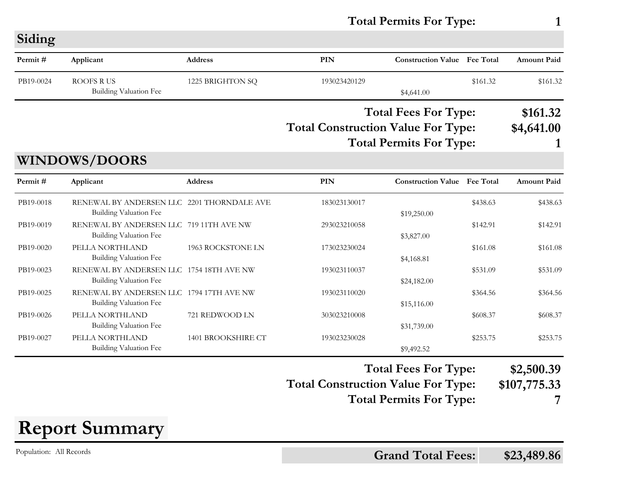**Total Permits For Type: 1**

**Siding**

| Permit#   | Applicant                                                                   | <b>Address</b>     | <b>PIN</b>                                                                  | <b>Construction Value Fee Total</b> |                  | <b>Amount Paid</b> |
|-----------|-----------------------------------------------------------------------------|--------------------|-----------------------------------------------------------------------------|-------------------------------------|------------------|--------------------|
| PB19-0024 | <b>ROOFS RUS</b><br><b>Building Valuation Fee</b>                           | 1225 BRIGHTON SQ   | 193023420129                                                                | \$4,641.00                          | \$161.32         | \$161.32           |
|           |                                                                             |                    | <b>Total Fees For Type:</b>                                                 |                                     |                  | \$161.32           |
|           |                                                                             |                    | <b>Total Construction Value For Type:</b><br><b>Total Permits For Type:</b> | \$4,641.00                          |                  |                    |
|           | <b>WINDOWS/DOORS</b>                                                        |                    |                                                                             |                                     |                  |                    |
| Permit#   | Applicant                                                                   | Address            | <b>PIN</b>                                                                  | <b>Construction Value</b>           | <b>Fee Total</b> | <b>Amount Paid</b> |
| PB19-0018 | RENEWAL BY ANDERSEN LLC 2201 THORNDALE AVE<br><b>Building Valuation Fee</b> |                    | 183023130017                                                                | \$19,250.00                         | \$438.63         | \$438.63           |
| PB19-0019 | RENEWAL BY ANDERSEN LLC 719 11TH AVE NW<br><b>Building Valuation Fee</b>    |                    | 293023210058                                                                | \$3,827.00                          | \$142.91         | \$142.91           |
| PB19-0020 | PELLA NORTHLAND<br>Building Valuation Fee                                   | 1963 ROCKSTONE LN  | 173023230024                                                                | \$4,168.81                          | \$161.08         | \$161.08           |
| PB19-0023 | RENEWAL BY ANDERSEN LLC 1754 18TH AVE NW<br><b>Building Valuation Fee</b>   |                    | 193023110037                                                                | \$24,182.00                         | \$531.09         | \$531.09           |
| PB19-0025 | RENEWAL BY ANDERSEN LLC 1794 17TH AVE NW<br>Building Valuation Fee          |                    | 193023110020                                                                | \$15,116.00                         | \$364.56         | \$364.56           |
| PB19-0026 | PELLA NORTHLAND<br><b>Building Valuation Fee</b>                            | 721 REDWOOD LN     | 303023210008                                                                | \$31,739.00                         | \$608.37         | \$608.37           |
| PB19-0027 | PELLA NORTHLAND<br>Building Valuation Fee                                   | 1401 BROOKSHIRE CT | 193023230028                                                                | \$9,492.52                          | \$253.75         | \$253.75           |

**Total Fees For Type: \$2,500.39**

**Total Construction Value For Type: \$107,775.33 Total Permits For Type: 7**

**Report Summary**

Population: All Records